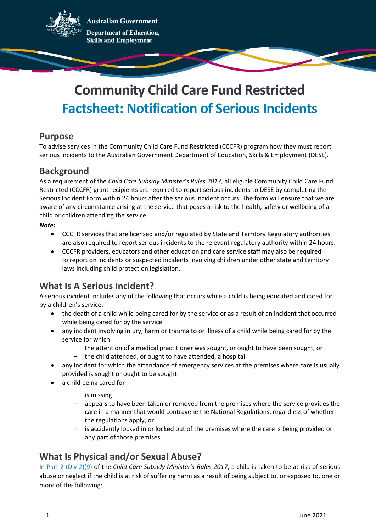

**Australian Government** 

**Department of Education, Skills and Employment** 

# **Community Child Care Fund Restricted Factsheet: Notification of Serious Incidents**

#### **Purpose**

To advise services in the Community Child Care Fund Restricted (CCCFR) program how they must report serious incidents to the Australian Government Department of Education, Skills & Employment (DESE).

# **Background**

As a requirement of the *Child Care Subsidy Minister's Rules 2017*, all eligible Community Child Care Fund Restricted (CCCFR) grant recipients are required to report serious incidents to DESE by completing the Serious Incident Form within 24 hours after the serious incident occurs. The form will ensure that we are aware of any circumstance arising at the service that poses a risk to the health, safety or wellbeing of a child or children attending the service.

#### *Note***:**

- CCCFR services that are licensed and/or regulated by State and Territory Regulatory authorities are also required to report serious incidents to the relevant regulatory authority within 24 hours.
- CCCFR providers, educators and other education and care service staff may also be required to [report on incidents or suspected incidents](https://www.acecqa.gov.au/resources/applications/reporting) involving children under other state and territory laws including child protection legislation**.**

# **What Is A Serious Incident?**

A serious incident includes any of the following that occurs while a child is being educated and cared for by a children's service:

- the death of a child while being cared for by the service or as a result of an incident that occurred while being cared for by the service
- any incident involving injury, harm or trauma to or illness of a child while being cared for by the service for which
	- the attention of a medical practitioner was sought, or ought to have been sought, or
	- the child attended, or ought to have attended, a hospital
- any incident for which the attendance of emergency services at the premises where care is usually provided is sought or ought to be sought
- a child being cared for
	- is missing
	- appears to have been taken or removed from the premises where the service provides the care in a manner that would contravene the National Regulations, regardless of whether the regulations apply, or
	- is accidently locked in or locked out of the premises where the care is being provided or any part of those premises.

# **What Is Physical and/or Sexual Abuse?**

In [Part 2 \(Div 2\)\(9\)](https://www.legislation.gov.au/Details/F2017L01464) of the *Child Care Subsidy Minister's Rules 2017*, a child is taken to be at risk of serious abuse or neglect if the child is at risk of suffering harm as a result of being subject to, or exposed to, one or more of the following: